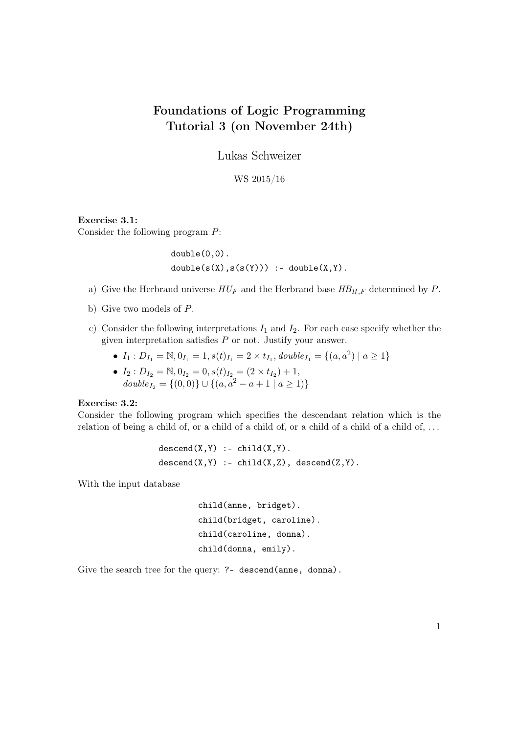# Foundations of Logic Programming Tutorial 3 (on November 24th)

Lukas Schweizer

WS 2015/16

## Exercise 3.1:

Consider the following program P:

double(0,0).  $double(s(X),s(s(Y)))$  :-  $double(X,Y)$ .

- a) Give the Herbrand universe  $HU_F$  and the Herbrand base  $HB_{\Pi,F}$  determined by P.
- b) Give two models of P.
- c) Consider the following interpretations  $I_1$  and  $I_2$ . For each case specify whether the given interpretation satisfies  $P$  or not. Justify your answer.

• 
$$
I_1: D_{I_1} = \mathbb{N}, 0_{I_1} = 1, s(t)_{I_1} = 2 \times t_{I_1}, double_{I_1} = \{(a, a^2) | a \ge 1\}
$$

• 
$$
I_2: D_{I_2} = \mathbb{N}, 0_{I_2} = 0, s(t)_{I_2} = (2 \times t_{I_2}) + 1,
$$
  
\n $double_{I_2} = \{(0,0)\} \cup \{(a, a^2 - a + 1 \mid a \ge 1)\}\$ 

#### Exercise 3.2:

Consider the following program which specifies the descendant relation which is the relation of being a child of, or a child of a child of, or a child of a child of a child of,  $\dots$ 

```
descend(X,Y) :- child(X,Y).
descend(X,Y) :- child(X,Z), descend(Z,Y).
```
With the input database

```
child(anne, bridget).
child(bridget, caroline).
child(caroline, donna).
child(donna, emily).
```
Give the search tree for the query: ?- descend(anne, donna).